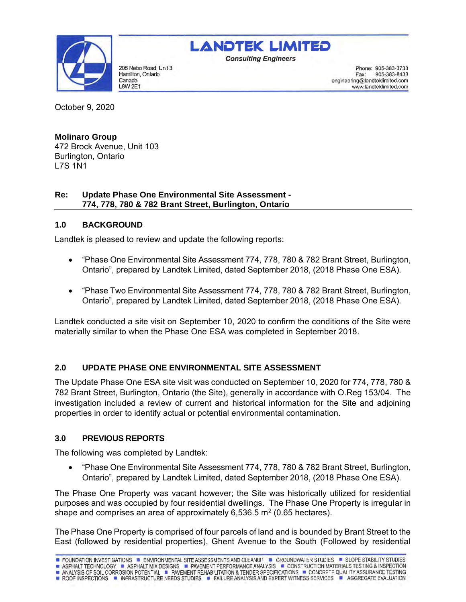

205 Nebo Road, Unit 3 Hamilton, Ontario Canada **L8W 2E1** 



**Consulting Engineers** 

Phone: 905-383-3733 905-383-8433 Fax: engineering@landteklimited.com www.landteklimited.com

October 9, 2020

# **Molinaro Group**

472 Brock Avenue, Unit 103 Burlington, Ontario L7S 1N1

## **Re: Update Phase One Environmental Site Assessment - 774, 778, 780 & 782 Brant Street, Burlington, Ontario**

# **1.0 BACKGROUND**

Landtek is pleased to review and update the following reports:

- "Phase One Environmental Site Assessment 774, 778, 780 & 782 Brant Street, Burlington, Ontario", prepared by Landtek Limited, dated September 2018, (2018 Phase One ESA).
- "Phase Two Environmental Site Assessment 774, 778, 780 & 782 Brant Street, Burlington, Ontario", prepared by Landtek Limited, dated September 2018, (2018 Phase One ESA).

Landtek conducted a site visit on September 10, 2020 to confirm the conditions of the Site were materially similar to when the Phase One ESA was completed in September 2018.

# **2.0 UPDATE PHASE ONE ENVIRONMENTAL SITE ASSESSMENT**

The Update Phase One ESA site visit was conducted on September 10, 2020 for 774, 778, 780 & 782 Brant Street, Burlington, Ontario (the Site), generally in accordance with O.Reg 153/04. The investigation included a review of current and historical information for the Site and adjoining properties in order to identify actual or potential environmental contamination.

# **3.0 PREVIOUS REPORTS**

The following was completed by Landtek:

• "Phase One Environmental Site Assessment 774, 778, 780 & 782 Brant Street, Burlington, Ontario", prepared by Landtek Limited, dated September 2018, (2018 Phase One ESA).

The Phase One Property was vacant however; the Site was historically utilized for residential purposes and was occupied by four residential dwellings. The Phase One Property is irregular in shape and comprises an area of approximately 6,536.5 m<sup>2</sup> (0.65 hectares).

The Phase One Property is comprised of four parcels of land and is bounded by Brant Street to the East (followed by residential properties), Ghent Avenue to the South (Followed by residential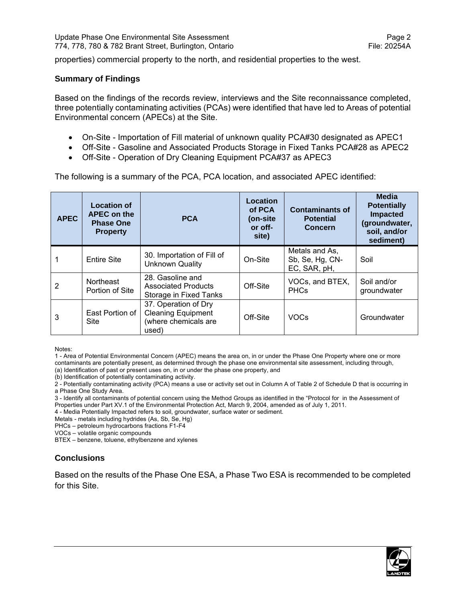properties) commercial property to the north, and residential properties to the west.

### **Summary of Findings**

Based on the findings of the records review, interviews and the Site reconnaissance completed, three potentially contaminating activities (PCAs) were identified that have led to Areas of potential Environmental concern (APECs) at the Site.

- On-Site Importation of Fill material of unknown quality PCA#30 designated as APEC1
- Off-Site Gasoline and Associated Products Storage in Fixed Tanks PCA#28 as APEC2
- Off-Site Operation of Dry Cleaning Equipment PCA#37 as APEC3

The following is a summary of the PCA, PCA location, and associated APEC identified:

| <b>APEC</b> | <b>Location of</b><br><b>APEC on the</b><br><b>Phase One</b><br><b>Property</b> | <b>PCA</b>                                                                         | Location<br>of PCA<br>(on-site)<br>or off-<br>site) | <b>Contaminants of</b><br><b>Potential</b><br><b>Concern</b> | <b>Media</b><br><b>Potentially</b><br><b>Impacted</b><br>(groundwater,<br>soil, and/or<br>sediment) |
|-------------|---------------------------------------------------------------------------------|------------------------------------------------------------------------------------|-----------------------------------------------------|--------------------------------------------------------------|-----------------------------------------------------------------------------------------------------|
|             | <b>Entire Site</b>                                                              | 30. Importation of Fill of<br><b>Unknown Quality</b>                               | On-Site                                             | Metals and As,<br>Sb, Se, Hg, CN-<br>EC, SAR, pH,            | Soil                                                                                                |
| 2           | Northeast<br>Portion of Site                                                    | 28. Gasoline and<br><b>Associated Products</b><br>Storage in Fixed Tanks           | Off-Site                                            | VOCs, and BTEX,<br><b>PHCs</b>                               | Soil and/or<br>groundwater                                                                          |
| 3           | East Portion of<br><b>Site</b>                                                  | 37. Operation of Dry<br><b>Cleaning Equipment</b><br>(where chemicals are<br>used) | Off-Site                                            | <b>VOCs</b>                                                  | Groundwater                                                                                         |

Notes:

1 - Area of Potential Environmental Concern (APEC) means the area on, in or under the Phase One Property where one or more contaminants are potentially present, as determined through the phase one environmental site assessment, including through, (a) Identification of past or present uses on, in or under the phase one property, and

(b) Identification of potentially contaminating activity.

2 - Potentially contaminating activity (PCA) means a use or activity set out in Column A of Table 2 of Schedule D that is occurring in a Phase One Study Area.

3 - Identify all contaminants of potential concern using the Method Groups as identified in the "Protocol for in the Assessment of Properties under Part XV.1 of the Environmental Protection Act, March 9, 2004, amended as of July 1, 2011.

4 - Media Potentially Impacted refers to soil, groundwater, surface water or sediment.

Metals - metals including hydrides (As, Sb, Se, Hg)

PHCs – petroleum hydrocarbons fractions F1-F4

VOCs – volatile organic compounds

BTEX – benzene, toluene, ethylbenzene and xylenes

# **Conclusions**

Based on the results of the Phase One ESA, a Phase Two ESA is recommended to be completed for this Site.

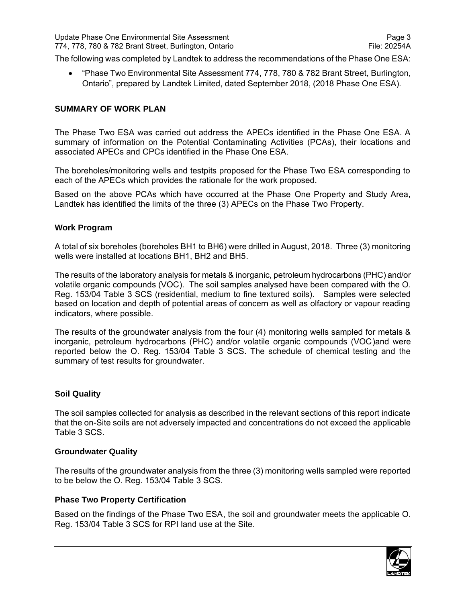The following was completed by Landtek to address the recommendations of the Phase One ESA:

• "Phase Two Environmental Site Assessment 774, 778, 780 & 782 Brant Street, Burlington, Ontario", prepared by Landtek Limited, dated September 2018, (2018 Phase One ESA).

## **SUMMARY OF WORK PLAN**

The Phase Two ESA was carried out address the APECs identified in the Phase One ESA. A summary of information on the Potential Contaminating Activities (PCAs), their locations and associated APECs and CPCs identified in the Phase One ESA.

The boreholes/monitoring wells and testpits proposed for the Phase Two ESA corresponding to each of the APECs which provides the rationale for the work proposed.

Based on the above PCAs which have occurred at the Phase One Property and Study Area, Landtek has identified the limits of the three (3) APECs on the Phase Two Property.

## **Work Program**

A total of six boreholes (boreholes BH1 to BH6) were drilled in August, 2018. Three (3) monitoring wells were installed at locations BH1, BH2 and BH5.

The results of the laboratory analysis for metals & inorganic, petroleum hydrocarbons (PHC) and/or volatile organic compounds (VOC). The soil samples analysed have been compared with the O. Reg. 153/04 Table 3 SCS (residential, medium to fine textured soils). Samples were selected based on location and depth of potential areas of concern as well as olfactory or vapour reading indicators, where possible.

The results of the groundwater analysis from the four (4) monitoring wells sampled for metals & inorganic, petroleum hydrocarbons (PHC) and/or volatile organic compounds (VOC)and were reported below the O. Reg. 153/04 Table 3 SCS. The schedule of chemical testing and the summary of test results for groundwater.

#### **Soil Quality**

The soil samples collected for analysis as described in the relevant sections of this report indicate that the on-Site soils are not adversely impacted and concentrations do not exceed the applicable Table 3 SCS.

#### **Groundwater Quality**

The results of the groundwater analysis from the three (3) monitoring wells sampled were reported to be below the O. Reg. 153/04 Table 3 SCS.

## **Phase Two Property Certification**

Based on the findings of the Phase Two ESA, the soil and groundwater meets the applicable O. Reg. 153/04 Table 3 SCS for RPI land use at the Site.